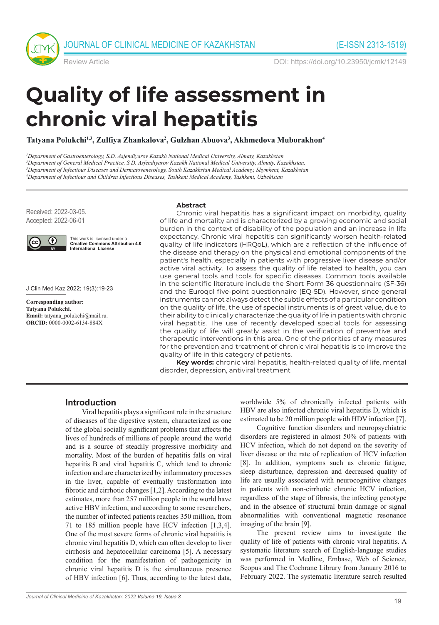

Review Article DOI: https://doi.org/10.23950/jcmk/12149

# **Quality of life assessment in chronic viral hepatitis**

Tatyana Polukchi<sup>1,3</sup>, Zulfiya Zhankalova<sup>2</sup>, Gulzhan Abuova<sup>3</sup>, Akhmedova Muborakhon<sup>4</sup>

 *Department of Gastroenterology, S.D. Asfendiyarov Kazakh National Medical University, Almaty, Kazakhstan Department of General Medical Practice, S.D. Asfendiyarov Kazakh National Medical University, Almaty, Kazakhstan. Department of Infectious Diseases and Dermatovenerology, South Kazakhstan Medical Academy, Shymkent, Kazakhstan Department of Infectious and Children Infectious Diseases, Tashkent Medical Academy, Tashkent, Uzbekistan*

Received: 2022-03-05. Accepted: 2022-06-01



This work is licensed under a **Creative Commons Attribution 4.0**<br>International License

J Clin Med Kaz 2022; 19(3):19-23

**Corresponding author: Tatyana Polukchi. Email:** tatyana\_polukchi@mail.ru. **ORCID:** 0000-0002-6134-884X

#### **Abstract**

Chronic viral hepatitis has a significant impact on morbidity, quality of life and mortality and is characterized by a growing economic and social burden in the context of disability of the population and an increase in life expectancy. Chronic viral hepatitis can significantly worsen health-related quality of life indicators (HRQoL), which are a reflection of the influence of the disease and therapy on the physical and emotional components of the patient's health, especially in patients with progressive liver disease and/or active viral activity. To assess the quality of life related to health, you can use general tools and tools for specific diseases. Common tools available in the scientific literature include the Short Form 36 questionnaire (SF-36) and the Euroqol five-point questionnaire (EQ-5D). However, since general instruments cannot always detect the subtle effects of a particular condition on the quality of life, the use of special instruments is of great value, due to their ability to clinically characterize the quality of life in patients with chronic viral hepatitis. The use of recently developed special tools for assessing the quality of life will greatly assist in the verification of preventive and therapeutic interventions in this area. One of the priorities of any measures for the prevention and treatment of chronic viral hepatitis is to improve the quality of life in this category of patients.

**Key words:** chronic viral hepatitis, health-related quality of life, mental disorder, depression, antiviral treatment

#### **Introduction**

Viral hepatitis plays a significant role in the structure of diseases of the digestive system, characterized as one of the global socially significant problems that affects the lives of hundreds of millions of people around the world and is a source of steadily progressive morbidity and mortality. Most of the burden of hepatitis falls on viral hepatitis B and viral hepatitis C, which tend to chronic infection and are characterized by inflammatory processes in the liver, capable of eventually trasformation into fibrotic and cirrhotic changes [1,2]. According to the latest estimates, more than 257 million people in the world have active HBV infection, and according to some researchers, the number of infected patients reaches 350 million, from 71 to 185 million people have HCV infection [1,3,4]. One of the most severe forms of chronic viral hepatitis is сhronic viral hepatitis D, which can often develop to liver cirrhosis and hepatocellular carcinoma [5]. A necessary condition for the manifestation of pathogenicity in chronic viral hepatitis D is the simultaneous presence of HBV infection [6]. Thus, according to the latest data,

*Journal of Clinical Medicine of Kazakhstan: 2022 Volume 19, Issue 3*

worldwide 5% of chronically infected patients with HBV are also infected chronic viral hepatitis D, which is estimated to be 20 million people with HDV infection [7].

Cognitive function disorders and neuropsychiatric disorders are registered in almost 50% of patients with HCV infection, which do not depend on the severity of liver disease or the rate of replication of HCV infection [8]. In addition, symptoms such as chronic fatigue, sleep disturbance, depression and decreased quality of life are usually associated with neurocognitive changes in patients with non-cirrhotic chronic HCV infection, regardless of the stage of fibrosis, the infecting genotype and in the absence of structural brain damage or signal abnormalities with conventional magnetic resonance imaging of the brain [9].

The present review aims to investigate the quality of life of patients with chronic viral hepatitis. A systematic literature search of English-language studies was performed in Medline, Embase, Web of Science, Scopus and The Cochrane Library from January 2016 to February 2022. The systematic literature search resulted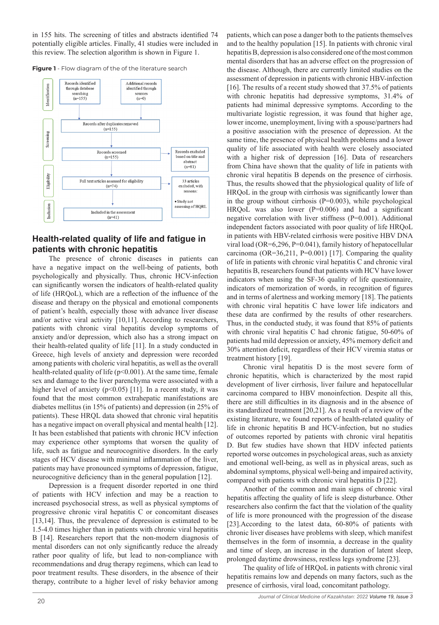in 155 hits. The screening of titles and abstracts identified 74 potentially eligible articles. Finally, 41 studies were included in this review. The selection algorithm is shown in Figure 1.

**Figure 1** - Flow diagram of the of the literature search



## **Health-related quality of life and fatigue in patients with chronic hepatitis**

The presence of chronic diseases in patients can have a negative impact on the well-being of patients, both psychologically and physically. Thus, chronic HCV-infection can significantly worsen the indicators of health-related quality of life (HRQoL), which are a reflection of the influence of the disease and therapy on the physical and emotional components of patient's health, especially those with advance liver disease and/or active viral activity [10,11]. According to researchers, patients with chronic viral hepatitis develop symptoms of anxiety and/or depression, which also has a strong impact on their health-related quality of life [11]. In a study conducted in Greece, high levels of anxiety and depression were recorded among patients with choleric viral hepatitis, as well as the overall health-related quality of life (p<0.001). At the same time, female sex and damage to the liver parenchyma were associated with a higher level of anxiety  $(p<0.05)$  [11]. In a recent study, it was found that the most common extrahepatic manifestations are diabetes mellitus (in 15% of patients) and depression (in 25% of patients). These HRQL data showed that chronic viral hepatitis has a negative impact on overall physical and mental health [12]. It has been established that patients with chronic HCV infection may experience other symptoms that worsen the quality of life, such as fatigue and neurocognitive disorders. In the early stages of HCV disease with minimal inflammation of the liver, patients may have pronounced symptoms of depression, fatigue, neurocognitive deficiency than in the general population [12].

Depression is a frequent disorder reported in one third of patients with HCV infection and may be a reaction to increased psychosocial stress, as well as physical symptoms of progressive chronic viral hepatitis C or concomitant diseases [13,14]. Thus, the prevalence of depression is estimated to be 1.5-4.0 times higher than in patients with chronic viral hepatitis B [14]. Researchers report that the non-modern diagnosis of mental disorders can not only significantly reduce the already rather poor quality of life, but lead to non-compliance with recommendations and drug therapy regimens, which can lead to poor treatment results. These disorders, in the absence of their therapy, contribute to a higher level of risky behavior among

patients, which can pose a danger both to the patients themselves and to the healthy population [15]. In patients with chronic viral hepatitis B, depression is also considered one of the most common mental disorders that has an adverse effect on the progression of the disease. Although, there are currently limited studies on the assessment of depression in patients with chronic HBV-infection [16]. The results of a recent study showed that 37.5% of patients with chronic hepatitis had depressive symptoms, 31.4% of patients had minimal depressive symptoms. According to the multivariate logistic regression, it was found that higher age, lower income, unemployment, living with a spouse/partners had a positive association with the presence of depression. At the same time, the presence of physical health problems and a lower quality of life associated with health were closely associated with a higher risk of depression [16]. Data of researchers from China have shown that the quality of life in patients with chronic viral hepatitis B depends on the presence of cirrhosis. Thus, the results showed that the physiological quality of life of HRQoL in the group with cirrhosis was significantly lower than in the group without cirrhosis (P=0.003), while psychological HRQoL was also lower (P=0.006) and had a significant negative correlation with liver stiffness (P=0.001). Additional independent factors associated with poor quality of life HRQoL in patients with HBV-related cirrhosis were positive HBV DNA viral load (OR=6,296, P=0.041), family history of hepatocellular carcinoma (OR=36,211, P=0.001) [17]. Comparing the quality of life in patients with chronic viral hepatitis C and chronic viral hepatitis B, researchers found that patients with HCV have lower indicators when using the SF-36 quality of life questionnaire, indicators of memorization of words, in recognition of figures and in terms of alertness and working memory [18]. The patients with chronic viral hepatitis C have lower life indicators and these data are confirmed by the results of other researchers. Thus, in the conducted study, it was found that 85% of patients with chronic viral hepatitis C had chronic fatigue, 50-60% of patients had mild depression or anxiety, 45% memory deficit and 30% attention deficit, regardless of their HCV viremia status or treatment history [19].

Chronic viral hepatitis D is the most severe form of chronic hepatitis, which is characterized by the most rapid development of liver cirrhosis, liver failure and hepatocellular carcinoma compared to HBV monoinfection. Despite all this, there are still difficulties in its diagnosis and in the absence of its standardized treatment [20,21]. As a result of a review of the existing literature, we found reports of health-related quality of life in chronic hepatitis B and HCV-infection, but no studies of outcomes reported by patients with chronic viral hepatitis D. But few studies have shown that HDV infected patients reported worse outcomes in psychological areas, such as anxiety and emotional well-being, as well as in physical areas, such as abdominal symptoms, physical well-being and impaired activity, compared with patients with chronic viral hepatitis D [22].

Another of the common and main signs of chronic viral hepatitis affecting the quality of life is sleep disturbance. Other researchers also confirm the fact that the violation of the quality of life is more pronounced with the progression of the disease [23].According to the latest data, 60-80% of patients with chronic liver diseases have problems with sleep, which manifest themselves in the form of insomnia, a decrease in the quality and time of sleep, an increase in the duration of latent sleep, prolonged daytime drowsiness, restless legs syndrome [23].

The quality of life of HRQoL in patients with chronic viral hepatitis remains low and depends on many factors, such as the presence of cirrhosis, viral load, concomitant pathology.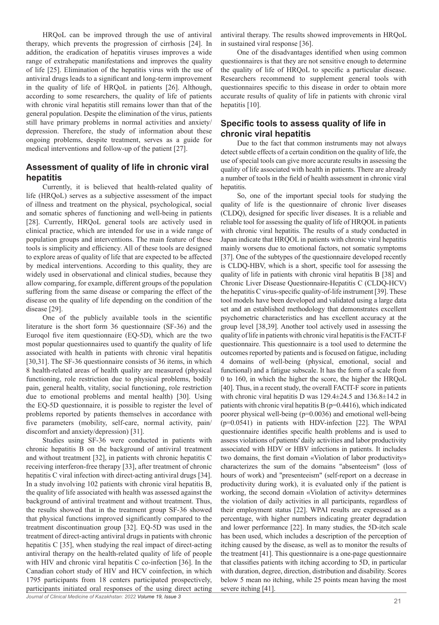HRQoL can be improved through the use of antiviral therapy, which prevents the progression of cirrhosis [24]. In addition, the eradication of hepatitis viruses improves a wide range of extrahepatic manifestations and improves the quality of life [25]. Elimination of the hepatitis virus with the use of antiviral drugs leads to a significant and long-term improvement in the quality of life of HRQoL in patients [26]. Although, according to some researchers, the quality of life of patients with chronic viral hepatitis still remains lower than that of the general population. Despite the elimination of the virus, patients still have primary problems in normal activities and anxiety/ depression. Therefore, the study of information about these ongoing problems, despite treatment, serves as a guide for medical interventions and follow-up of the patient [27].

#### **Assessment of quality of life in chronic viral hepatitis**

Currently, it is believed that health-related quality of life (HRQoL) serves as a subjective assessment of the impact of illness and treatment on the physical, psychological, social and somatic spheres of functioning and well-being in patients [28]. Currently, HRQoL general tools are actively used in clinical practice, which are intended for use in a wide range of population groups and interventions. The main feature of these tools is simplicity and efficiency. All of these tools are designed to explore areas of quality of life that are expected to be affected by medical interventions. According to this quality, they are widely used in observational and clinical studies, because they allow comparing, for example, different groups of the population suffering from the same disease or comparing the effect of the disease on the quality of life depending on the condition of the disease [29].

One of the publicly available tools in the scientific literature is the short form 36 questionnaire (SF-36) and the Euroqol five item questionnaire (EQ-5D), which are the two most popular questionnaires used to quantify the quality of life associated with health in patients with chronic viral hepatitis [30,31]. The SF-36 questionnaire consists of 36 items, in which 8 health-related areas of health quality are measured (physical functioning, role restriction due to physical problems, bodily pain, general health, vitality, social functioning, role restriction due to emotional problems and mental health) [30]. Using the EQ-5D questionnaire, it is possible to register the level of problems reported by patients themselves in accordance with five parameters (mobility, self-care, normal activity, pain/ discomfort and anxiety/depression) [31].

*Journal of Clinical Medicine of Kazakhstan: 2022 Volume 19, Issue 3* Studies using SF-36 were conducted in patients with chronic hepatitis B on the background of antiviral treatment and without treatment [32], in patients with chronic hepatitis C receiving interferon-free therapy [33], after treatment of chronic hepatitis C viral infection with direct-acting antiviral drugs [34]. In a study involving 102 patients with chronic viral hepatitis B, the quality of life associated with health was assessed against the background of antiviral treatment and without treatment. Thus, the results showed that in the treatment group SF-36 showed that physical functions improved significantly compared to the treatment discontinuation group [32]. EQ-5D was used in the treatment of direct-acting antiviral drugs in patients with chronic hepatitis C [35], when studying the real impact of direct-acting antiviral therapy on the health-related quality of life of people with HIV and chronic viral hepatitis C co-infection [36]. In the Canadian cohort study of HIV and HCV coinfection, in which 1795 participants from 18 centers participated prospectively, participants initiated oral responses of the using direct acting antiviral therapy. The results showed improvements in HRQoL in sustained viral response [36].

One of the disadvantages identified when using common questionnaires is that they are not sensitive enough to determine the quality of life of HRQoL to specific a particular disease. Researchers recommend to supplement general tools with questionnaires specific to this disease in order to obtain more accurate results of quality of life in patients with chronic viral hepatitis [10].

### **Specific tools to assess quality of life in chronic viral hepatitis**

Due to the fact that common instruments may not always detect subtle effects of a certain condition on the quality of life, the use of special tools can give more accurate results in assessing the quality of life associated with health in patients. There are already a number of tools in the field of health assessment in chronic viral hepatitis.

So, one of the important special tools for studying the quality of life is the questionnaire of chronic liver diseases (CLDQ), designed for specific liver diseases. It is a reliable and reliable tool for assessing the quality of life of HRQOL in patients with chronic viral hepatitis. The results of a study conducted in Japan indicate that HRQOL in patients with chronic viral hepatitis mainly worsens due to emotional factors, not somatic symptoms [37]. One of the subtypes of the questionnaire developed recently is CLDQ-HBV, which is a short, specific tool for assessing the quality of life in patients with chronic viral hepatitis B [38] and Chronic Liver Disease Questionnaire-Hepatitis C (CLDQ-HCV) the hepatitis C virus-specific quality-of-life instrument [39]. These tool models have been developed and validated using a large data set and an established methodology that demonstrates excellent psychometric characteristics and has excellent accuracy at the group level [38,39]. Another tool actively used in assessing the quality of life in patients with chronic viral hepatitis is the FACIT-F questionnaire. This questionnaire is a tool used to determine the outcomes reported by patients and is focused on fatigue, including 4 domains of well-being (physical, emotional, social and functional) and a fatigue subscale. It has the form of a scale from 0 to 160, in which the higher the score, the higher the HRQoL [40]. Thus, in a recent study, the overall FACIT-F score in patients with chronic viral hepatitis D was 129.4±24.5 and 136.8±14.2 in patients with chronic viral hepatitis B ( $p=0.4416$ ), which indicated poorer physical well-being (p=0.0036) and emotional well-being (p=0.0541) in patients with HDV-infection [22]. The WPAI questionnaire identifies specific health problems and is used to assess violations of patients' daily activities and labor productivity associated with HDV or HBV infections in patients. It includes two domains, the first domain «Violation of labor productivity» characterizes the sum of the domains "absenteeism" (loss of hours of work) and "presenteeism" (self-report on a decrease in productivity during work), it is evaluated only if the patient is working, the second domain «Violation of activity» determines the violation of daily activities in all participants, regardless of their employment status [22]. WPAI results are expressed as a percentage, with higher numbers indicating greater degradation and lower performance [22]. In many studies, the 5D-itch scale has been used, which includes a description of the perception of itching caused by the disease, as well as to monitor the results of the treatment [41]. This questionnaire is a one-page questionnaire that classifies patients with itching according to 5D, in particular with duration, degree, direction, distribution and disability. Scores below 5 mean no itching, while 25 points mean having the most severe itching [41].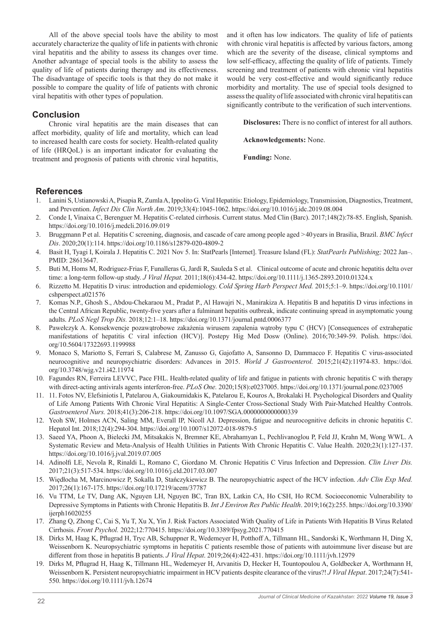All of the above special tools have the ability to most accurately characterize the quality of life in patients with chronic viral hepatitis and the ability to assess its changes over time. Another advantage of special tools is the ability to assess the quality of life of patients during therapy and its effectiveness. The disadvantage of specific tools is that they do not make it possible to compare the quality of life of patients with chronic viral hepatitis with other types of population.

and it often has low indicators. The quality of life of patients with chronic viral hepatitis is affected by various factors, among which are the severity of the disease, clinical symptoms and low self-efficacy, affecting the quality of life of patients. Timely screening and treatment of patients with chronic viral hepatitis would be very cost-effective and would significantly reduce morbidity and mortality. The use of special tools designed to assess the quality of life associated with chronic viral hepatitis can significantly contribute to the verification of such interventions.

#### **Conclusion**

Chronic viral hepatitis are the main diseases that can affect morbidity, quality of life and mortality, which can lead to increased health care costs for society. Health-related quality of life (HRQoL) is an important indicator for evaluating the treatment and prognosis of patients with chronic viral hepatitis, **Disclosures:** There is no conflict of interest for all authors.

**Acknowledgements:** None.

**Funding:** None.

#### **References**

- 1. Lanini S, Ustianowski A, Pisapia R, Zumla A, Ippolito G. Viral Hepatitis: Etiology, Epidemiology, Transmission, Diagnostics, Treatment, and Prevention. *Infect Dis Clin North Am*. 2019;33(4):1045-1062. https://doi.org/10.1016/j.idc.2019.08.004
- 2. Conde I, Vinaixa C, Berenguer M. Hepatitis C-related cirrhosis. Current status. Med Clin (Barc). 2017;148(2):78-85. English, Spanish. https://doi.org/10.1016/j.medcli.2016.09.019
- 3. Bruggmann P et al. Hepatitis C screening, diagnosis, and cascade of care among people aged >40years in Brasilia, Brazil. *BMC Infect Dis*. 2020;20(1):114. https://doi.org/10.1186/s12879-020-4809-2
- 4. Basit H, Tyagi I, Koirala J. Hepatitis C. 2021 Nov 5. In: StatPearls [Internet]. Treasure Island (FL): *StatPearls Publishing;* 2022 Jan–. PMID: 28613647.
- 5. Buti M, Homs M, Rodriguez-Frias F, Funalleras G, Jardí R, Sauleda S et al. Clinical outcome of acute and chronic hepatitis delta over time: a long-term follow-up study. *J Viral Hepat.* 2011;18(6):434-42. https://doi.org/10.1111/j.1365-2893.2010.01324.x
- 6. Rizzetto M. Hepatitis D virus: introduction and epidemiology. *Cold Spring Harb Perspect Med.* 2015;5:1–9. https://doi.org/10.1101/ cshperspect.a021576
- 7. Komas N.P., Ghosh S., Abdou-Chekaraou M., Pradat P., Al Hawajri N., Manirakiza A. Hepatitis B and hepatitis D virus infections in the Central African Republic, twenty-five years after a fulminant hepatitis outbreak, indicate continuing spread in asymptomatic young adults. *PLoS Negl Trop Dis.* 2018;12:1–18. https://doi.org/10.1371/journal.pntd.0006377
- 8. Pawełczyk A. Konsekwencje pozawątrobowe zakażenia wirusem zapalenia wątroby typu C (HCV) [Consequences of extrahepatic manifestations of hepatitis C viral infection (HCV)]. Postepy Hig Med Dosw (Online). 2016;70:349-59. Polish. https://doi. org/10.5604/17322693.1199988
- 9. Monaco S, Mariotto S, Ferrari S, Calabrese M, Zanusso G, Gajofatto A, Sansonno D, Dammacco F. Hepatitis C virus-associated neurocognitive and neuropsychiatric disorders: Advances in 2015. *World J Gastroenterol.* 2015;21(42):11974-83. https://doi. org/10.3748/wjg.v21.i42.11974
- 10. Fagundes RN, Ferreira LEVVC, Pace FHL. Health-related quality of life and fatigue in patients with chronic hepatitis C with therapy with direct-acting antivirals agents interferon-free. *PLoS One.* 2020;15(8):e0237005. https://doi.org/10.1371/journal.pone.0237005
- 11. 11. Fotos NV, Elefsiniotis I, Patelarou A, Giakoumidakis K, Patelarou E, Kouros A, Brokalaki H. Psychological Disorders and Quality of Life Among Patients With Chronic Viral Hepatitis: A Single-Center Cross-Sectional Study With Pair-Matched Healthy Controls. *Gastroenterol Nurs.* 2018;41(3):206-218. https://doi.org/10.1097/SGA.0000000000000339
- 12. Yeoh SW, Holmes ACN, Saling MM, Everall IP, Nicoll AJ. Depression, fatigue and neurocognitive deficits in chronic hepatitis C. Hepatol Int. 2018;12(4):294-304. https://doi.org/10.1007/s12072-018-9879-5
- 13. Saeed YA, Phoon A, Bielecki JM, Mitsakakis N, Bremner KE, Abrahamyan L, Pechlivanoglou P, Feld JJ, Krahn M, Wong WWL. A Systematic Review and Meta-Analysis of Health Utilities in Patients With Chronic Hepatitis C. Value Health. 2020;23(1):127-137. https://doi.org/10.1016/j.jval.2019.07.005
- 14. Adinolfi LE, Nevola R, Rinaldi L, Romano C, Giordano M. Chronic Hepatitis C Virus Infection and Depression. *Clin Liver Dis.*  2017;21(3):517-534. https://doi.org/10.1016/j.cld.2017.03.007
- 15. Więdłocha M, Marcinowicz P, Sokalla D, Stańczykiewicz B. The neuropsychiatric aspect of the HCV infection. *Adv Clin Exp Med.*  2017;26(1):167-175. https://doi.org/10.17219/acem/37787
- 16. Vu TTM, Le TV, Dang AK, Nguyen LH, Nguyen BC, Tran BX, Latkin CA, Ho CSH, Ho RCM. Socioeconomic Vulnerability to Depressive Symptoms in Patients with Chronic Hepatitis B. *Int J Environ Res Public Health*. 2019;16(2):255. https://doi.org/10.3390/ ijerph16020255
- 17. Zhang Q, Zhong C, Cai S, Yu T, Xu X, Yin J. Risk Factors Associated With Quality of Life in Patients With Hepatitis B Virus Related Cirrhosis. *Front Psychol.* 2022;12:770415. https://doi.org/10.3389/fpsyg.2021.770415
- 18. Dirks M, Haag K, Pflugrad H, Tryc AB, Schuppner R, Wedemeyer H, Potthoff A, Tillmann HL, Sandorski K, Worthmann H, Ding X, Weissenborn K. Neuropsychiatric symptoms in hepatitis C patients resemble those of patients with autoimmune liver disease but are different from those in hepatitis B patients. *J Viral Hepat*. 2019;26(4):422-431. https://doi.org/10.1111/jvh.12979
- 19. Dirks M, Pflugrad H, Haag K, Tillmann HL, Wedemeyer H, Arvanitis D, Hecker H, Tountopoulou A, Goldbecker A, Worthmann H, Weissenborn K. Persistent neuropsychiatric impairment in HCV patients despite clearance of the virus?! *J Viral Hepat*. 2017;24(7):541- 550. https://doi.org/10.1111/jvh.12674